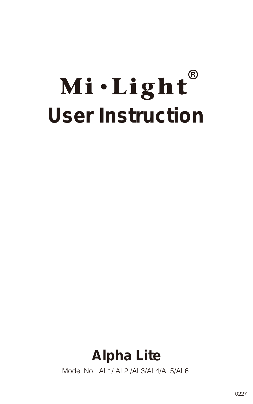# Mi·Light® **User Instruction**

# **Alpha Lite**

Model No.: AL1/ AL2 /AL3/AL4/AL5/AL6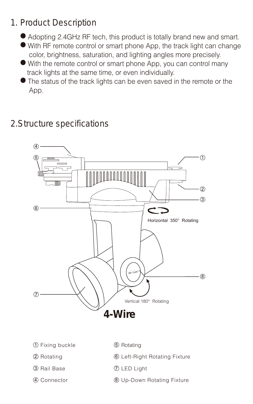## 1. Product Description

- Adopting 2.4GHz RF tech, this product is totally brand new and smart.
- With RF remote control or smart phone App, the track light can change color, brightness, saturation, and lighting angles more precisely.
- With the remote control or smart phone App, you can control many track lights at the same time, or even individually.
- The status of the track lights can be even saved in the remote or the App.

## 2.Structure specifications

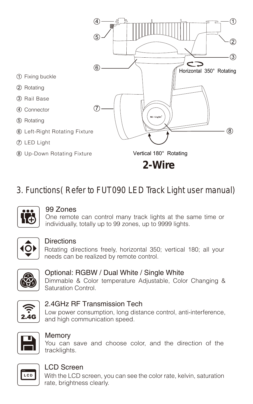

3. Functions( Refer to FUT090 LED Track Light user manual)



#### 99 Zones

One remote can control many track lights at the same time or individually, totally up to 99 zones, up to 9999 lights.



#### **Directions**

Rotating directions freely, horizontal 350; vertical 180; all your needs can be realized by remote control.



#### Optional: RGBW / Dual White / Single White

Dimmable & Color temperature Adjustable, Color Changing & Saturation Control.



#### 2.4GHz RF Transmission Tech

Low power consumption, long distance control, anti-interference, and high communication speed.



#### Memory

You can save and choose color, and the direction of the tracklights.



#### LCD Screen

With the LCD screen, you can see the color rate, kelvin, saturation rate, brightness clearly.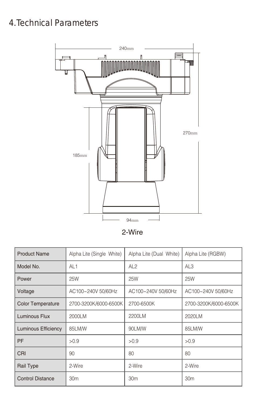## 4.Technical Parameters



2-Wire

| <b>Product Name</b>        | Alpha Lite (Single White) | Alpha Lite (Dual White) | Alpha Lite (RGBW)     |
|----------------------------|---------------------------|-------------------------|-----------------------|
| Model No.                  | AI 1                      | AI $2$                  | AI $3$                |
| Power                      | 25W                       | 25W                     | <b>25W</b>            |
| Voltage                    | AC100~240V 50/60Hz        | AC100~240V 50/60Hz      | AC100~240V 50/60Hz    |
| <b>Color Temperature</b>   | 2700-3200K/6000-6500K     | 2700-6500K              | 2700-3200K/6000-6500K |
| Luminous Flux              | 2000LM                    | 2200LM                  | 2020LM                |
| <b>Luminous Efficiency</b> | 85LM/W                    | 90LM/W                  | 85LM/W                |
| PF                         | >0.9                      | >0.9                    | >0.9                  |
| CRI                        | 90                        | 80                      | 80                    |
| Rail Type                  | 2-Wire                    | 2-Wire                  | 2-Wire                |
| <b>Control Distance</b>    | 30 <sub>m</sub>           | 30m                     | 30m                   |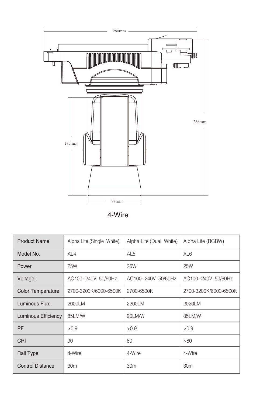

4-Wire

| <b>Product Name</b>      | Alpha Lite (Single White) | Alpha Lite (Dual White) | Alpha Lite (RGBW)     |
|--------------------------|---------------------------|-------------------------|-----------------------|
| Model No.                | AI $4$                    | AL <sub>5</sub>         | AI <sub>6</sub>       |
| Power                    | 25W                       | 25W                     | 25W                   |
| Voltage:                 | AC100~240V 50/60Hz        | AC100~240V 50/60Hz      | AC100~240V 50/60Hz    |
| <b>Color Temperature</b> | 2700-3200K/6000-6500K     | 2700-6500K              | 2700-3200K/6000-6500K |
| Luminous Flux            | 2000LM                    | 2200LM                  | 2020LM                |
| Luminous Efficiency      | 85LM/W                    | 90LM/W                  | 85LM/W                |
| PF                       | >0.9                      | >0.9                    | >0.9                  |
| CRI                      | 90                        | 80                      | >80                   |
| Rail Type                | 4-Wire                    | 4-Wire                  | 4-Wire                |
| <b>Control Distance</b>  | 30 <sub>m</sub>           | 30 <sub>m</sub>         | 30m                   |